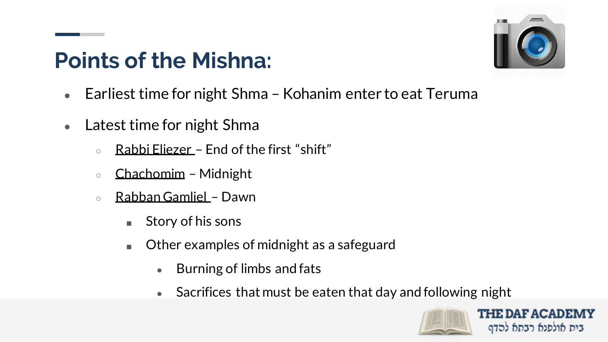## **Points of the Mishna:**



- Earliest time for night Shma Kohanim enter to eat Teruma
- Latest time for night Shma
	- Rabbi Eliezer End of the first "shift"
	- Chachomim Midnight
	- Rabban Gamliel Dawn
		- Story of his sons
		- Other examples of midnight as a safeguard
			- $\bullet$  Burning of limbs and fats
			- Sacrifices that must be eaten that day and following night

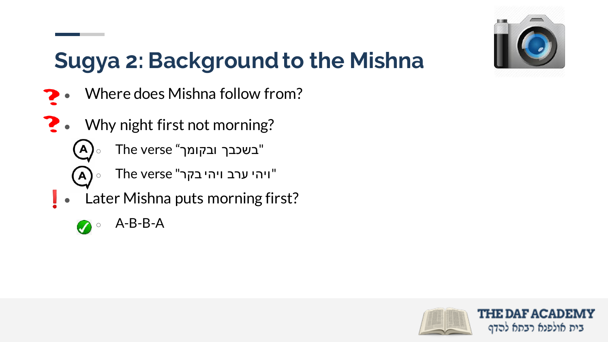

## **Sugya 2: Background to the Mishna**

- Where does Mishna follow from?
- $\sum$  Why night first not morning?
	- $\circ$  The verse "בשכבך ובקומך"
	- $\mathbf{A}$ ויהי ערב ויהי בקר" The verse The  $\mathbf{a}$
	- Later Mishna puts morning first?
		- $\circ$  A-B-B-A

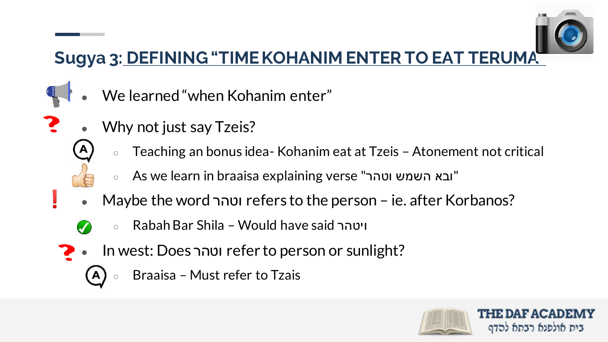

## **Sugya 3: DEFINING "TIME KOHANIM ENTER TO EAT TERUMA"**

- We learned "when Kohanim enter"
- Why not just say Tzeis?
	- Teaching an bonus idea- Kohanim eat at Tzeis Atonement not critical
	- As we learn in braaisa explaining verse "ובא השמש וטהר"
	- Maybe the word וטהר refers to the person ie. after Korbanos?
		- Rabah Bar Shila Would have said ויטהר
	- In west: Does וטהר refer to person or sunlight?
		- Braaisa Must refer to Tzais